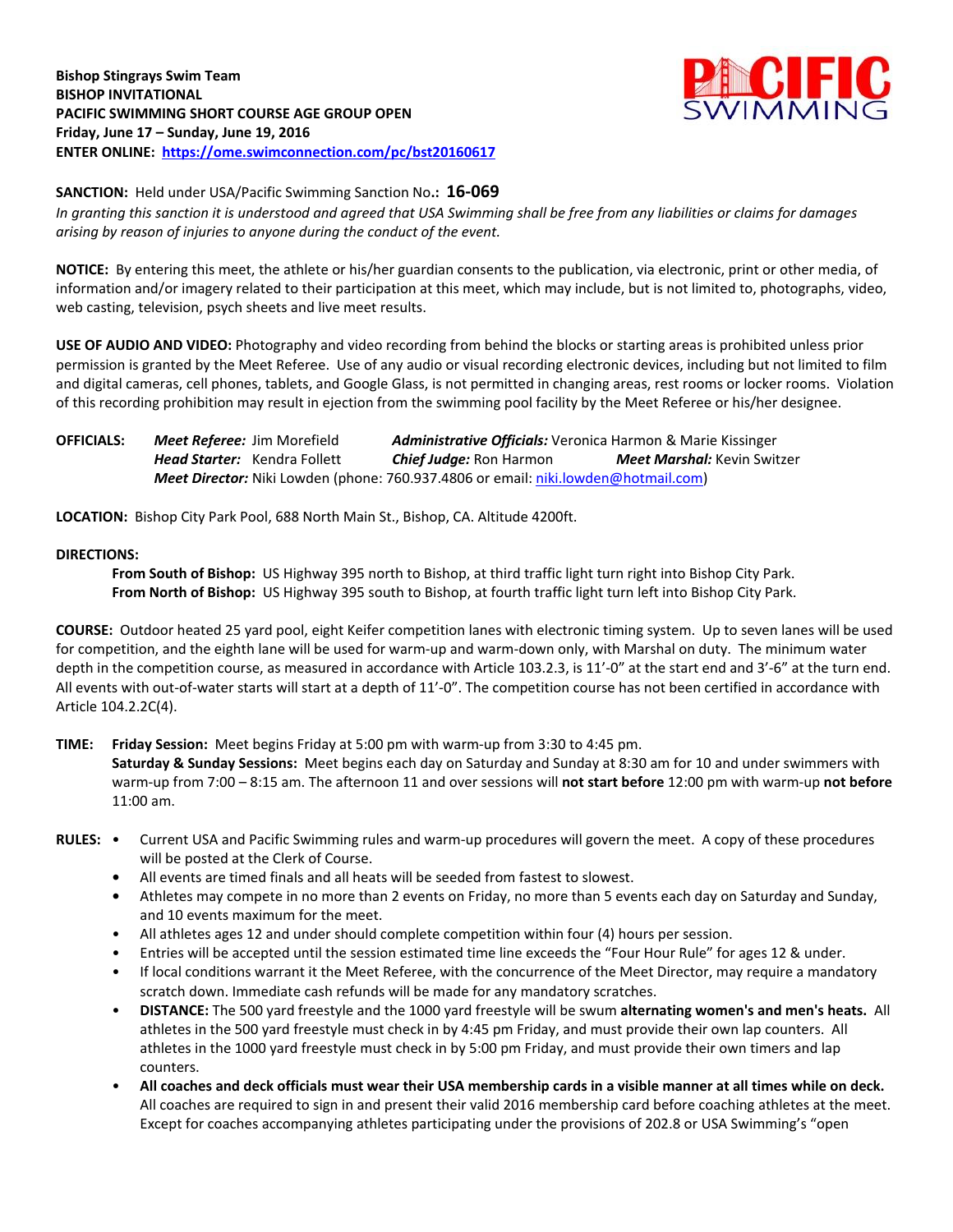

**SANCTION:** Held under USA/Pacific Swimming Sanction No**.: 16-069** *In granting this sanction it is understood and agreed that USA Swimming shall be free from any liabilities or claims for damages arising by reason of injuries to anyone during the conduct of the event.*

**NOTICE:** By entering this meet, the athlete or his/her guardian consents to the publication, via electronic, print or other media, of information and/or imagery related to their participation at this meet, which may include, but is not limited to, photographs, video, web casting, television, psych sheets and live meet results.

**USE OF AUDIO AND VIDEO:** Photography and video recording from behind the blocks or starting areas is prohibited unless prior permission is granted by the Meet Referee. Use of any audio or visual recording electronic devices, including but not limited to film and digital cameras, cell phones, tablets, and Google Glass, is not permitted in changing areas, rest rooms or locker rooms. Violation of this recording prohibition may result in ejection from the swimming pool facility by the Meet Referee or his/her designee.

**OFFICIALS:** *Meet Referee:* Jim Morefield *Administrative Officials:* Veronica Harmon & Marie Kissinger *Head Starter:* Kendra Follett *Chief Judge:* Ron Harmon *Meet Marshal:* Kevin Switzer *Meet Director:* Niki Lowden (phone: 760.937.4806 or email[: niki.lowden@hotmail.com\)](mailto:niki.lowden@hotmail.com)

**LOCATION:** Bishop City Park Pool, 688 North Main St., Bishop, CA. Altitude 4200ft.

## **DIRECTIONS:**

**From South of Bishop:** US Highway 395 north to Bishop, at third traffic light turn right into Bishop City Park. **From North of Bishop:** US Highway 395 south to Bishop, at fourth traffic light turn left into Bishop City Park.

**COURSE:** Outdoor heated 25 yard pool, eight Keifer competition lanes with electronic timing system. Up to seven lanes will be used for competition, and the eighth lane will be used for warm-up and warm-down only, with Marshal on duty. The minimum water depth in the competition course, as measured in accordance with Article 103.2.3, is 11'-0" at the start end and 3'-6" at the turn end. All events with out-of-water starts will start at a depth of 11'-0". The competition course has not been certified in accordance with Article 104.2.2C(4).

**TIME: Friday Session:** Meet begins Friday at 5:00 pm with warm-up from 3:30 to 4:45 pm.

**Saturday & Sunday Sessions:** Meet begins each day on Saturday and Sunday at 8:30 am for 10 and under swimmers with warm-up from 7:00 – 8:15 am. The afternoon 11 and over sessions will **not start before** 12:00 pm with warm-up **not before**  11:00 am.

- **RULES:** Current USA and Pacific Swimming rules and warm-up procedures will govern the meet. A copy of these procedures will be posted at the Clerk of Course.
	- **•** All events are timed finals and all heats will be seeded from fastest to slowest.
	- Athletes may compete in no more than 2 events on Friday, no more than 5 events each day on Saturday and Sunday, and 10 events maximum for the meet.
	- All athletes ages 12 and under should complete competition within four (4) hours per session.
	- Entries will be accepted until the session estimated time line exceeds the "Four Hour Rule" for ages 12 & under.
	- If local conditions warrant it the Meet Referee, with the concurrence of the Meet Director, may require a mandatory scratch down. Immediate cash refunds will be made for any mandatory scratches.
	- **DISTANCE:** The 500 yard freestyle and the 1000 yard freestyle will be swum **alternating women's and men's heats.** All athletes in the 500 yard freestyle must check in by 4:45 pm Friday, and must provide their own lap counters. All athletes in the 1000 yard freestyle must check in by 5:00 pm Friday, and must provide their own timers and lap counters.
	- **All coaches and deck officials must wear their USA membership cards in a visible manner at all times while on deck.** All coaches are required to sign in and present their valid 2016 membership card before coaching athletes at the meet. Except for coaches accompanying athletes participating under the provisions of 202.8 or USA Swimming's "open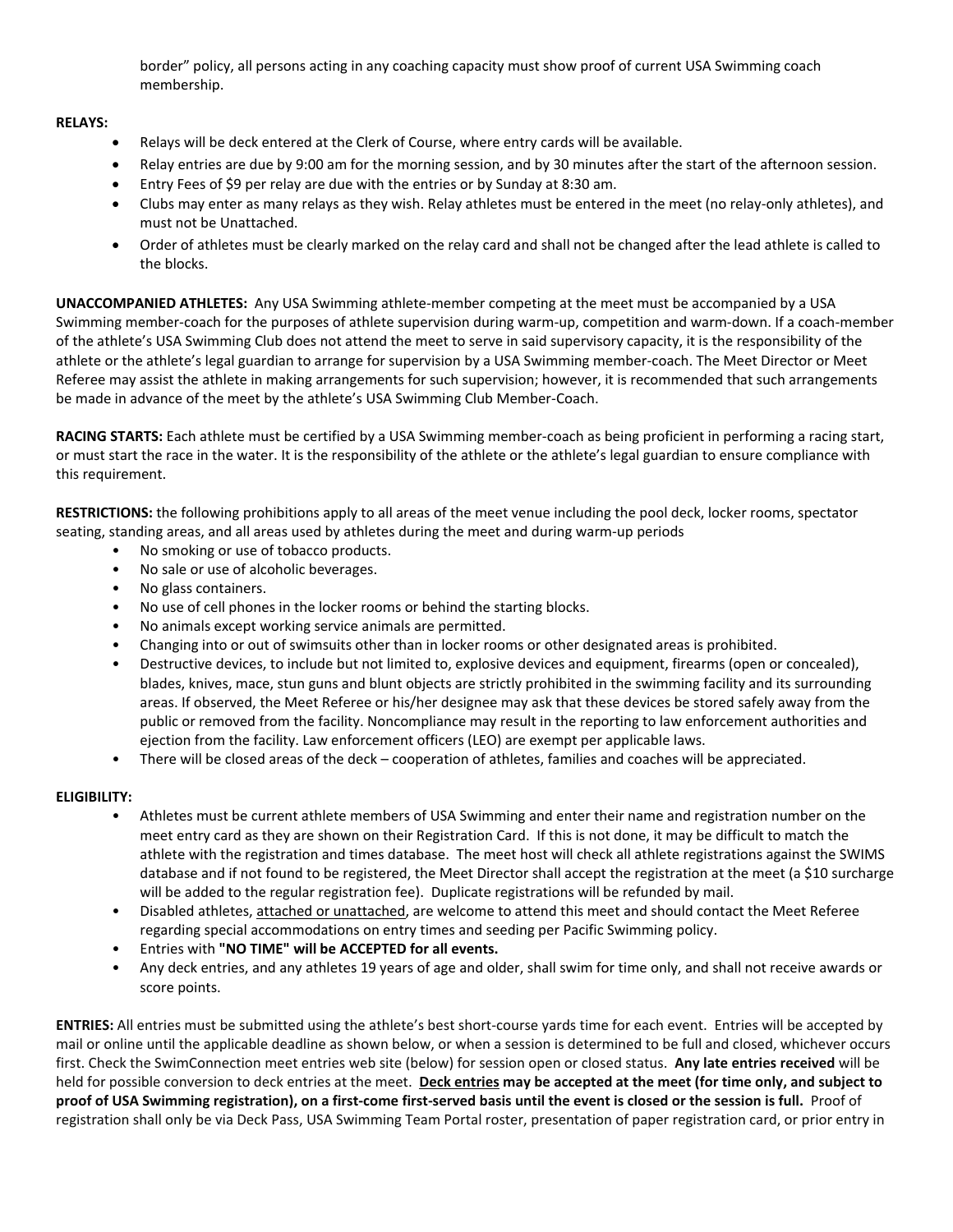border" policy, all persons acting in any coaching capacity must show proof of current USA Swimming coach membership.

## **RELAYS:**

- Relays will be deck entered at the Clerk of Course, where entry cards will be available.
- Relay entries are due by 9:00 am for the morning session, and by 30 minutes after the start of the afternoon session.
- Entry Fees of \$9 per relay are due with the entries or by Sunday at 8:30 am.
- Clubs may enter as many relays as they wish. Relay athletes must be entered in the meet (no relay-only athletes), and must not be Unattached.
- Order of athletes must be clearly marked on the relay card and shall not be changed after the lead athlete is called to the blocks.

**UNACCOMPANIED ATHLETES:** Any USA Swimming athlete-member competing at the meet must be accompanied by a USA Swimming member-coach for the purposes of athlete supervision during warm-up, competition and warm-down. If a coach-member of the athlete's USA Swimming Club does not attend the meet to serve in said supervisory capacity, it is the responsibility of the athlete or the athlete's legal guardian to arrange for supervision by a USA Swimming member-coach. The Meet Director or Meet Referee may assist the athlete in making arrangements for such supervision; however, it is recommended that such arrangements be made in advance of the meet by the athlete's USA Swimming Club Member-Coach.

**RACING STARTS:** Each athlete must be certified by a USA Swimming member-coach as being proficient in performing a racing start, or must start the race in the water. It is the responsibility of the athlete or the athlete's legal guardian to ensure compliance with this requirement.

**RESTRICTIONS:** the following prohibitions apply to all areas of the meet venue including the pool deck, locker rooms, spectator seating, standing areas, and all areas used by athletes during the meet and during warm-up periods

- No smoking or use of tobacco products.
- No sale or use of alcoholic beverages.
- No glass containers.
- No use of cell phones in the locker rooms or behind the starting blocks.
- No animals except working service animals are permitted.
- Changing into or out of swimsuits other than in locker rooms or other designated areas is prohibited.
- Destructive devices, to include but not limited to, explosive devices and equipment, firearms (open or concealed), blades, knives, mace, stun guns and blunt objects are strictly prohibited in the swimming facility and its surrounding areas. If observed, the Meet Referee or his/her designee may ask that these devices be stored safely away from the public or removed from the facility. Noncompliance may result in the reporting to law enforcement authorities and ejection from the facility. Law enforcement officers (LEO) are exempt per applicable laws.
- There will be closed areas of the deck cooperation of athletes, families and coaches will be appreciated.

## **ELIGIBILITY:**

- Athletes must be current athlete members of USA Swimming and enter their name and registration number on the meet entry card as they are shown on their Registration Card. If this is not done, it may be difficult to match the athlete with the registration and times database. The meet host will check all athlete registrations against the SWIMS database and if not found to be registered, the Meet Director shall accept the registration at the meet (a \$10 surcharge will be added to the regular registration fee). Duplicate registrations will be refunded by mail.
- Disabled athletes, attached or unattached, are welcome to attend this meet and should contact the Meet Referee regarding special accommodations on entry times and seeding per Pacific Swimming policy.
- Entries with **"NO TIME" will be ACCEPTED for all events.**
- Any deck entries, and any athletes 19 years of age and older, shall swim for time only, and shall not receive awards or score points.

**ENTRIES:** All entries must be submitted using the athlete's best short-course yards time for each event. Entries will be accepted by mail or online until the applicable deadline as shown below, or when a session is determined to be full and closed, whichever occurs first. Check the SwimConnection meet entries web site (below) for session open or closed status. **Any late entries received** will be held for possible conversion to deck entries at the meet. **Deck entries may be accepted at the meet (for time only, and subject to proof of USA Swimming registration), on a first-come first-served basis until the event is closed or the session is full.** Proof of registration shall only be via Deck Pass, USA Swimming Team Portal roster, presentation of paper registration card, or prior entry in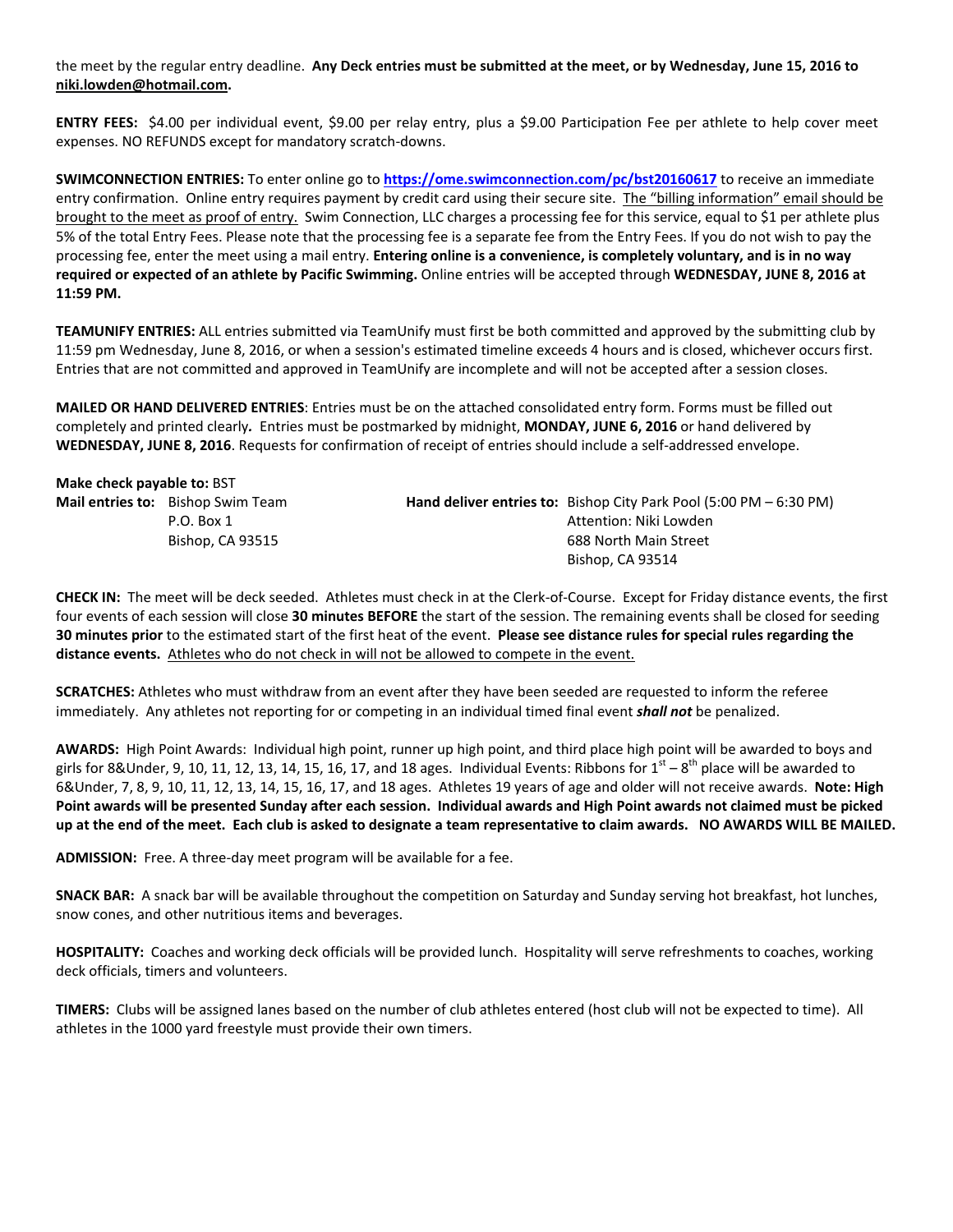the meet by the regular entry deadline. **Any Deck entries must be submitted at the meet, or by Wednesday, June 15, 2016 to niki.lowden@hotmail.com.**

**ENTRY FEES:** \$4.00 per individual event, \$9.00 per relay entry, plus a \$9.00 Participation Fee per athlete to help cover meet expenses. NO REFUNDS except for mandatory scratch-downs.

**SWIMCONNECTION ENTRIES:** To enter online go to **<https://ome.swimconnection.com/pc/bst20160617>** to receive an immediate entry confirmation. Online entry requires payment by credit card using their secure site. The "billing information" email should be brought to the meet as proof of entry. Swim Connection, LLC charges a processing fee for this service, equal to \$1 per athlete plus 5% of the total Entry Fees. Please note that the processing fee is a separate fee from the Entry Fees. If you do not wish to pay the processing fee, enter the meet using a mail entry. **Entering online is a convenience, is completely voluntary, and is in no way required or expected of an athlete by Pacific Swimming.** Online entries will be accepted through **WEDNESDAY, JUNE 8, 2016 at 11:59 PM.**

**TEAMUNIFY ENTRIES:** ALL entries submitted via TeamUnify must first be both committed and approved by the submitting club by 11:59 pm Wednesday, June 8, 2016, or when a session's estimated timeline exceeds 4 hours and is closed, whichever occurs first. Entries that are not committed and approved in TeamUnify are incomplete and will not be accepted after a session closes.

**MAILED OR HAND DELIVERED ENTRIES**: Entries must be on the attached consolidated entry form. Forms must be filled out completely and printed clearly*.* Entries must be postmarked by midnight, **MONDAY, JUNE 6, 2016** or hand delivered by **WEDNESDAY, JUNE 8, 2016**. Requests for confirmation of receipt of entries should include a self-addressed envelope.

| Make check payable to: BST               |                                                                                             |  |  |  |  |  |  |  |  |
|------------------------------------------|---------------------------------------------------------------------------------------------|--|--|--|--|--|--|--|--|
| <b>Mail entries to:</b> Bishop Swim Team | <b>Hand deliver entries to:</b> Bishop City Park Pool $(5:00 \text{ PM} - 6:30 \text{ PM})$ |  |  |  |  |  |  |  |  |
| P.O. Box 1                               | Attention: Niki Lowden                                                                      |  |  |  |  |  |  |  |  |
| Bishop, CA 93515                         | 688 North Main Street                                                                       |  |  |  |  |  |  |  |  |
|                                          | Bishop, CA 93514                                                                            |  |  |  |  |  |  |  |  |

**CHECK IN:** The meet will be deck seeded. Athletes must check in at the Clerk-of-Course. Except for Friday distance events, the first four events of each session will close **30 minutes BEFORE** the start of the session. The remaining events shall be closed for seeding **30 minutes prior** to the estimated start of the first heat of the event. **Please see distance rules for special rules regarding the distance events.** Athletes who do not check in will not be allowed to compete in the event.

**SCRATCHES:** Athletes who must withdraw from an event after they have been seeded are requested to inform the referee immediately. Any athletes not reporting for or competing in an individual timed final event *shall not* be penalized.

**AWARDS:** High Point Awards: Individual high point, runner up high point, and third place high point will be awarded to boys and girls for 8&Under, 9, 10, 11, 12, 13, 14, 15, 16, 17, and 18 ages. Individual Events: Ribbons for  $1^{\rm st}$  –  $8^{\rm th}$  place will be awarded to 6&Under, 7, 8, 9, 10, 11, 12, 13, 14, 15, 16, 17, and 18 ages. Athletes 19 years of age and older will not receive awards. **Note: High Point awards will be presented Sunday after each session. Individual awards and High Point awards not claimed must be picked up at the end of the meet. Each club is asked to designate a team representative to claim awards. NO AWARDS WILL BE MAILED.**

**ADMISSION:** Free. A three-day meet program will be available for a fee.

**SNACK BAR:** A snack bar will be available throughout the competition on Saturday and Sunday serving hot breakfast, hot lunches, snow cones, and other nutritious items and beverages.

**HOSPITALITY:** Coaches and working deck officials will be provided lunch. Hospitality will serve refreshments to coaches, working deck officials, timers and volunteers.

**TIMERS:** Clubs will be assigned lanes based on the number of club athletes entered (host club will not be expected to time). All athletes in the 1000 yard freestyle must provide their own timers.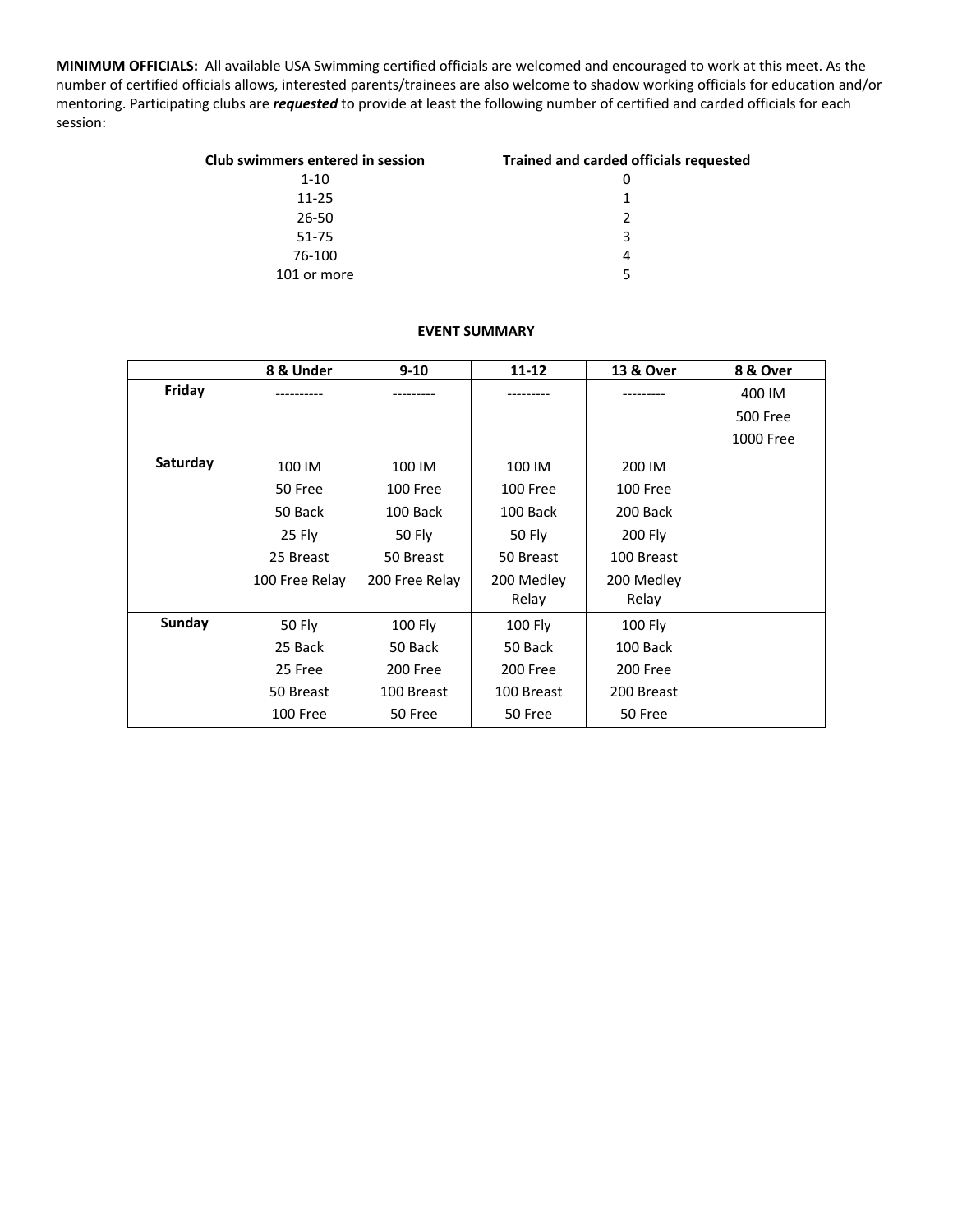**MINIMUM OFFICIALS:** All available USA Swimming certified officials are welcomed and encouraged to work at this meet. As the number of certified officials allows, interested parents/trainees are also welcome to shadow working officials for education and/or mentoring. Participating clubs are *requested* to provide at least the following number of certified and carded officials for each session:

| Club swimmers entered in session | <b>Trained and carded officials requested</b> |  |  |  |  |
|----------------------------------|-----------------------------------------------|--|--|--|--|
| $1 - 10$                         |                                               |  |  |  |  |
| $11 - 25$                        | 1                                             |  |  |  |  |
| 26-50                            | 2                                             |  |  |  |  |
| 51-75                            | 3                                             |  |  |  |  |
| 76-100                           | 4                                             |  |  |  |  |
| 101 or more                      | ς                                             |  |  |  |  |

## **EVENT SUMMARY**

|          | 8 & Under      | $9 - 10$       | $11 - 12$  | 13 & Over  | 8 & Over        |
|----------|----------------|----------------|------------|------------|-----------------|
| Friday   |                |                |            |            | 400 IM          |
|          |                |                |            |            | <b>500 Free</b> |
|          |                |                |            |            | 1000 Free       |
| Saturday | 100 IM         | 100 IM         | 100 IM     | 200 IM     |                 |
|          | 50 Free        | 100 Free       | 100 Free   | 100 Free   |                 |
|          | 50 Back        | 100 Back       | 100 Back   | 200 Back   |                 |
|          | 25 Fly         | 50 Fly         | 50 Fly     | 200 Fly    |                 |
|          | 25 Breast      | 50 Breast      | 50 Breast  | 100 Breast |                 |
|          | 100 Free Relay | 200 Free Relay | 200 Medley | 200 Medley |                 |
|          |                |                | Relay      | Relay      |                 |
| Sunday   | 50 Fly         | 100 Fly        | 100 Fly    | 100 Fly    |                 |
|          | 25 Back        | 50 Back        | 50 Back    | 100 Back   |                 |
|          | 25 Free        | 200 Free       | 200 Free   | 200 Free   |                 |
|          | 50 Breast      | 100 Breast     | 100 Breast | 200 Breast |                 |
|          | 100 Free       | 50 Free        | 50 Free    | 50 Free    |                 |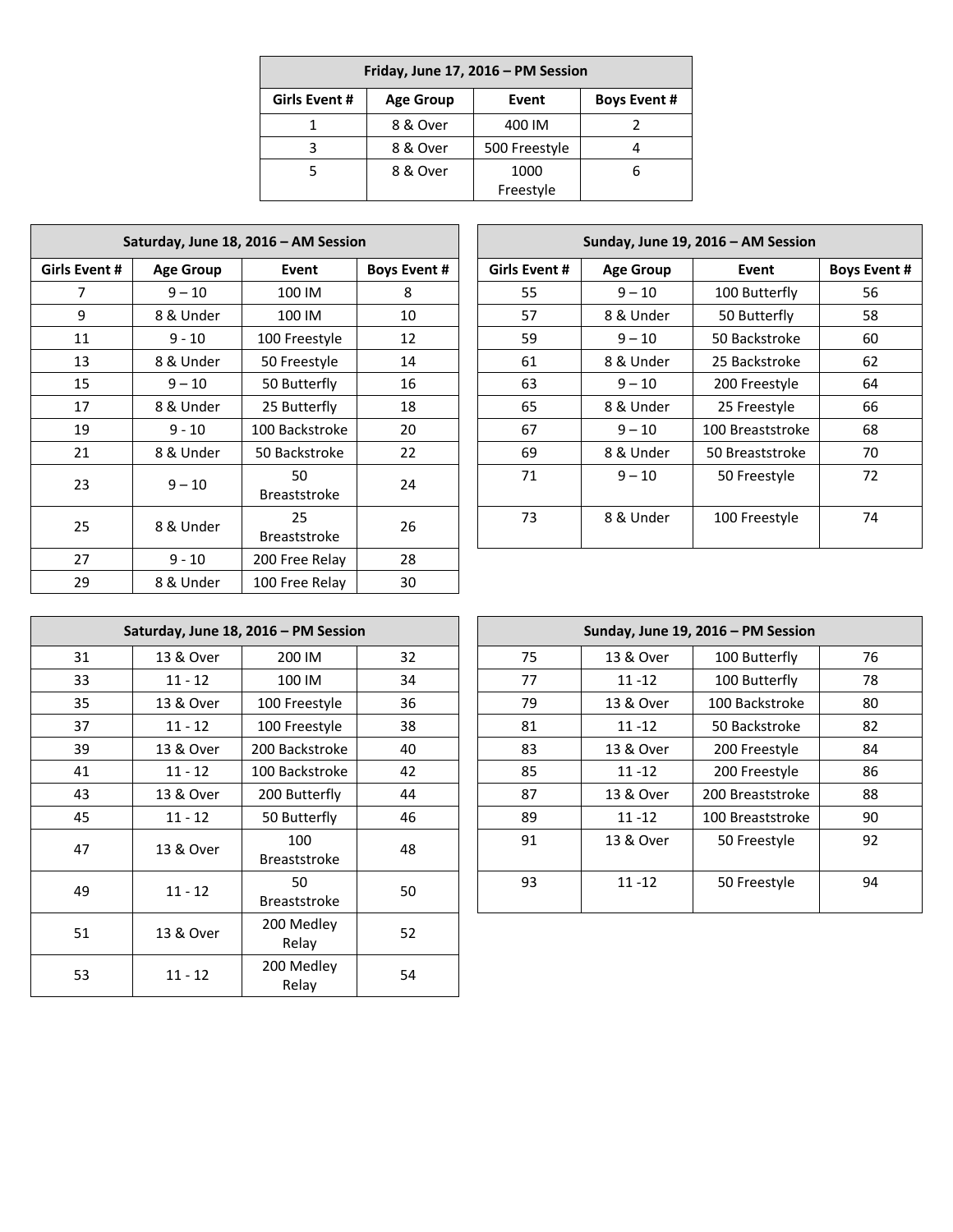| Friday, June 17, 2016 - PM Session |          |                     |  |  |  |  |  |  |
|------------------------------------|----------|---------------------|--|--|--|--|--|--|
| Girls Event #                      | Event    | <b>Boys Event #</b> |  |  |  |  |  |  |
|                                    | 8 & Over | 400 IM              |  |  |  |  |  |  |
|                                    | 8 & Over | 500 Freestyle       |  |  |  |  |  |  |
| 8 & Over                           |          | 1000                |  |  |  |  |  |  |
|                                    |          | Freestyle           |  |  |  |  |  |  |

| Saturday, June 18, 2016 - AM Session |                           |                           |    |  |  |  |  |  |  |
|--------------------------------------|---------------------------|---------------------------|----|--|--|--|--|--|--|
| Girls Event #                        | <b>Age Group</b><br>Event |                           |    |  |  |  |  |  |  |
| 7                                    | $9 - 10$                  | 100 IM                    | 8  |  |  |  |  |  |  |
| 9                                    | 8 & Under                 | 100 IM                    | 10 |  |  |  |  |  |  |
| 11                                   | $9 - 10$                  | 100 Freestyle             | 12 |  |  |  |  |  |  |
| 13                                   | 8 & Under                 | 50 Freestyle              | 14 |  |  |  |  |  |  |
| 15                                   | $9 - 10$                  | 50 Butterfly              | 16 |  |  |  |  |  |  |
| 17                                   | 8 & Under                 | 25 Butterfly              | 18 |  |  |  |  |  |  |
| 19                                   | $9 - 10$                  | 100 Backstroke            | 20 |  |  |  |  |  |  |
| 21                                   | 8 & Under                 | 50 Backstroke             | 22 |  |  |  |  |  |  |
| 23                                   | $9 - 10$                  | 50<br><b>Breaststroke</b> | 24 |  |  |  |  |  |  |
| 8 & Under<br>25                      |                           | 25<br><b>Breaststroke</b> | 26 |  |  |  |  |  |  |
| 27                                   | $9 - 10$                  | 200 Free Relay            | 28 |  |  |  |  |  |  |
| 29                                   | 8 & Under                 | 100 Free Relay            | 30 |  |  |  |  |  |  |

| Saturday, June 18, 2016 - AM Session |                  |                           |                     |                      |                  | Sunday, June 19, 2016 - AM Session |                     |
|--------------------------------------|------------------|---------------------------|---------------------|----------------------|------------------|------------------------------------|---------------------|
| Girls Event #                        | <b>Age Group</b> | Event                     | <b>Boys Event #</b> | <b>Girls Event #</b> | <b>Age Group</b> | Event                              | <b>Boys Event #</b> |
|                                      | $9 - 10$         | 100 IM                    | 8                   | 55                   | $9 - 10$         | 100 Butterfly                      |                     |
| 9                                    | 8 & Under        | 100 IM                    | 10                  | 57                   | 8 & Under        | 50 Butterfly                       |                     |
| 11                                   | $9 - 10$         | 100 Freestyle             | 12                  | 59                   | $9 - 10$         | 50 Backstroke                      |                     |
| 13                                   | 8 & Under        | 50 Freestyle              | 14                  | 61                   | 8 & Under        | 25 Backstroke                      |                     |
| 15                                   | $9 - 10$         | 50 Butterfly              | 16                  | 63                   | $9 - 10$         | 200 Freestyle                      |                     |
| 17                                   | 8 & Under        | 25 Butterfly              | 18                  | 65                   | 8 & Under        | 25 Freestyle                       |                     |
| 19                                   | $9 - 10$         | 100 Backstroke            | 20                  | 67                   | $9 - 10$         | 100 Breaststroke                   |                     |
| 21                                   | 8 & Under        | 50 Backstroke             | 22                  | 69                   | 8 & Under        | 50 Breaststroke                    |                     |
| 23                                   | $9 - 10$         | 50<br><b>Breaststroke</b> | 24                  | 71                   | $9 - 10$         | 50 Freestyle                       |                     |
| 25                                   | 8 & Under        | 25<br><b>Breaststroke</b> | 26                  | 73                   | 8 & Under        | 100 Freestyle                      |                     |

| Saturday, June 18, 2016 – PM Session |           |                            |    |  |  |  |  |  |
|--------------------------------------|-----------|----------------------------|----|--|--|--|--|--|
| 31                                   | 13 & Over | 200 IM                     | 32 |  |  |  |  |  |
| 33                                   | $11 - 12$ | 100 IM                     | 34 |  |  |  |  |  |
| 35                                   | 13 & Over | 100 Freestyle              | 36 |  |  |  |  |  |
| 37                                   | $11 - 12$ | 100 Freestyle              | 38 |  |  |  |  |  |
| 39                                   | 13 & Over | 200 Backstroke             | 40 |  |  |  |  |  |
| 41                                   | $11 - 12$ | 100 Backstroke             | 42 |  |  |  |  |  |
| 43                                   | 13 & Over | 200 Butterfly              | 44 |  |  |  |  |  |
| 45                                   | $11 - 12$ | 50 Butterfly               | 46 |  |  |  |  |  |
| 47                                   | 13 & Over | 100<br><b>Breaststroke</b> | 48 |  |  |  |  |  |
| 49                                   | $11 - 12$ |                            | 50 |  |  |  |  |  |
| 51                                   | 13 & Over | 200 Medley<br>Relay        | 52 |  |  |  |  |  |
| 53<br>$11 - 12$                      |           | 200 Medley<br>Relay        | 54 |  |  |  |  |  |

|     |           | Saturday, June 18, 2016 - PM Session |    |    |           | Sunday, June 19, 2016 - PM Session |    |
|-----|-----------|--------------------------------------|----|----|-----------|------------------------------------|----|
| 31  | 13 & Over | 200 IM                               | 32 | 75 | 13 & Over | 100 Butterfly                      | 76 |
| 33. | $11 - 12$ | 100 IM                               | 34 | 77 | $11 - 12$ | 100 Butterfly                      | 78 |
| 35. | 13 & Over | 100 Freestyle                        | 36 | 79 | 13 & Over | 100 Backstroke                     | 80 |
| 37  | $11 - 12$ | 100 Freestyle                        | 38 | 81 | $11 - 12$ | 50 Backstroke                      | 82 |
| 39  | 13 & Over | 200 Backstroke                       | 40 | 83 | 13 & Over | 200 Freestyle                      | 84 |
| 41  | $11 - 12$ | 100 Backstroke                       | 42 | 85 | $11 - 12$ | 200 Freestyle                      | 86 |
| 43  | 13 & Over | 200 Butterfly                        | 44 | 87 | 13 & Over | 200 Breaststroke                   | 88 |
| 45  | $11 - 12$ | 50 Butterfly                         | 46 | 89 | $11 - 12$ | 100 Breaststroke                   | 90 |
| 47  | 13 & Over | 100<br><b>Breaststroke</b>           | 48 | 91 | 13 & Over | 50 Freestyle                       | 92 |
| 49  | $11 - 12$ | 50<br><b>Breaststroke</b>            | 50 | 93 | $11 - 12$ | 50 Freestyle                       | 94 |